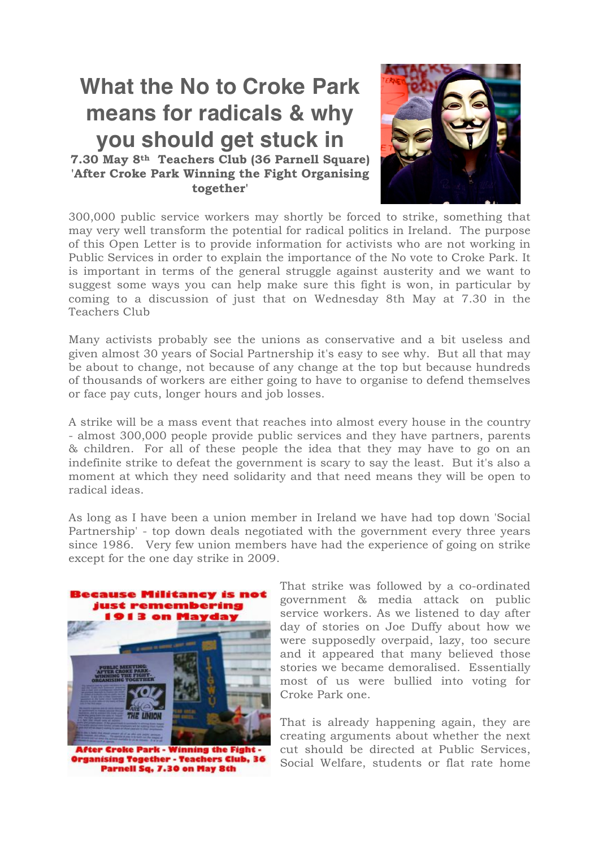## **What the No to Croke Park means for radicals & why you should get stuck in**

**7.30 May 8th Teachers Club (36 Parnell Square) 'After Croke Park Winning the Fight Organising together'**



300,000 public service workers may shortly be forced to strike, something that may very well transform the potential for radical politics in Ireland. The purpose of this Open Letter is to provide information for activists who are not working in Public Services in order to explain the importance of the No vote to Croke Park. It is important in terms of the general struggle against austerity and we want to suggest some ways you can help make sure this fight is won, in particular by coming to a discussion of just that on Wednesday 8th May at 7.30 in the Teachers Club

Many activists probably see the unions as conservative and a bit useless and given almost 30 years of Social Partnership it's easy to see why. But all that may be about to change, not because of any change at the top but because hundreds of thousands of workers are either going to have to organise to defend themselves or face pay cuts, longer hours and job losses.

A strike will be a mass event that reaches into almost every house in the country - almost 300,000 people provide public services and they have partners, parents & children. For all of these people the idea that they may have to go on an indefinite strike to defeat the government is scary to say the least. But it's also a moment at which they need solidarity and that need means they will be open to radical ideas.

As long as I have been a union member in Ireland we have had top down 'Social Partnership' - top down deals negotiated with the government every three years since 1986. Very few union members have had the experience of going on strike except for the one day strike in 2009.



**After Croke Park - Winning the Figh** ganising Together - Teachers Club, Parnell Sq. 7.30 on May 8th

That strike was followed by a co-ordinated government & media attack on public service workers. As we listened to day after day of stories on Joe Duffy about how we were supposedly overpaid, lazy, too secure and it appeared that many believed those stories we became demoralised. Essentially most of us were bullied into voting for Croke Park one.

That is already happening again, they are creating arguments about whether the next cut should be directed at Public Services, Social Welfare, students or flat rate home